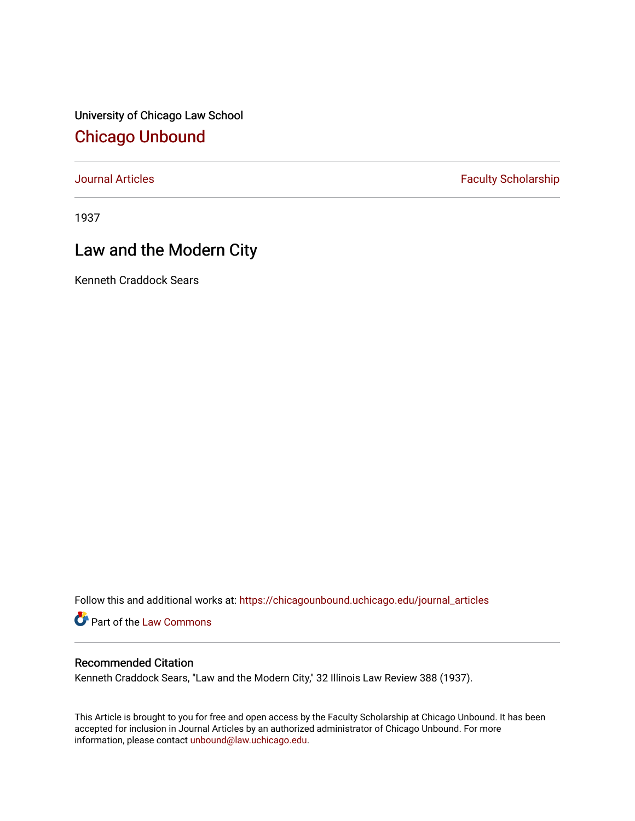University of Chicago Law School [Chicago Unbound](https://chicagounbound.uchicago.edu/)

[Journal Articles](https://chicagounbound.uchicago.edu/journal_articles) **Faculty Scholarship Faculty Scholarship** 

1937

# Law and the Modern City

Kenneth Craddock Sears

Follow this and additional works at: [https://chicagounbound.uchicago.edu/journal\\_articles](https://chicagounbound.uchicago.edu/journal_articles?utm_source=chicagounbound.uchicago.edu%2Fjournal_articles%2F9214&utm_medium=PDF&utm_campaign=PDFCoverPages) 

Part of the [Law Commons](http://network.bepress.com/hgg/discipline/578?utm_source=chicagounbound.uchicago.edu%2Fjournal_articles%2F9214&utm_medium=PDF&utm_campaign=PDFCoverPages)

# Recommended Citation

Kenneth Craddock Sears, "Law and the Modern City," 32 Illinois Law Review 388 (1937).

This Article is brought to you for free and open access by the Faculty Scholarship at Chicago Unbound. It has been accepted for inclusion in Journal Articles by an authorized administrator of Chicago Unbound. For more information, please contact [unbound@law.uchicago.edu](mailto:unbound@law.uchicago.edu).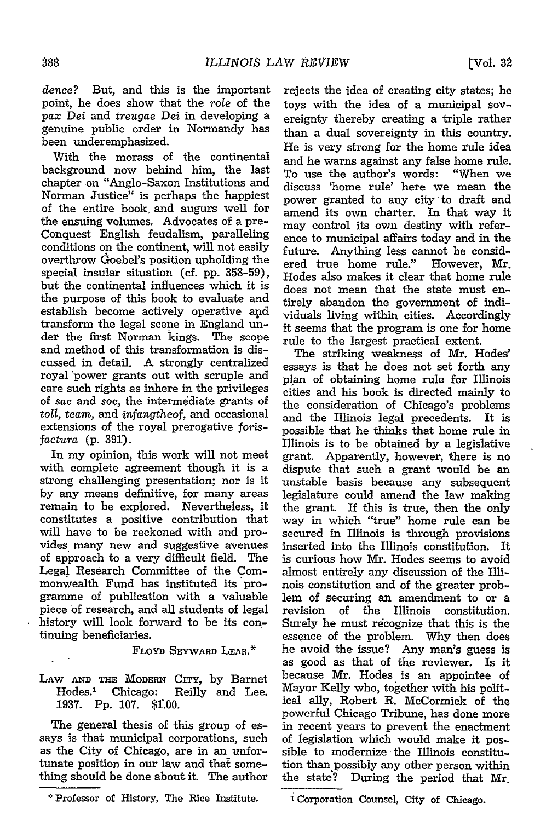*dence?* But, and this is the important point, he does show that the role of the *pax Dei* and *treugae Dei* in developing a genuine public order in Normandy has been underemphasized.

With the morass of the continental background now behind him, the last chapter -on "Anglo-Saxon Institutions and Norman Justice" is perhaps the happiest of the entire book and augurs well for the ensuing volumes. Advocates of a pre-Conquest English feudalism, paralleling conditions on the continent, will not easily overthrow doebel's position upholding the special insular situation (cf. pp. 358-59), but the continental influences which it is the purpose of this book to evaluate and establish become actively operative and transform the legal scene in England under the first Norman kings. The scope and method of this transformation is discussed in detail. A strongly centralized royal 'power grants out with scruple and care such rights as inhere in the privileges of sac and soc, the intermediate grants of toll, *team,* and *infangtheof,* and occasional extensions of the royal prerogative *forisfactura* (p. 391).

In my opinion, this work will not meet with complete agreement though it is a strong challenging presentation; nor is it by any means definitive, for many areas remain to be explored. Nevertheless, it constitutes a positive contribution that will have to be reckoned with and provides many new and suggestive avenues of approach to a very difficult field. The Legal Research Committee of the Commonwealth Fund has instituted its programme of publication with a valuable piece of research, and all students of legal history will look forward to be its continuing beneficiaries.

#### **FLoYD SEYWARD** LEAR.\*

## LAW AND THE MODERN CITY, by Barnet Hodes.<sup>1</sup> Chicago: Reilly and Lee. 1937. Pp. 107. \$1.00.

The general thesis of this group of essays is that municipal corporations, such as the City of Chicago, are in an unfortunate position in our law and that something should be done about it. The author

rejects the idea of creating city states; he toys with the idea of a municipal sovereignty thereby creating a triple rather than a dual sovereignty in this country. He is very strong for the home rule idea and he warns against any false home rule. To use the author's words: "When we discuss 'home rule' here we mean the power granted to any city to draft and amend its own charter. In that way it may control its own destiny with reference to municipal affairs today and in the future. Anything less cannot be considered true home rule." However, Mr. Hodes also makes it clear that home rule does not mean that the state must entirely abandon the government of individuals living within cities. Accordingly it seems that the program is one for home rule to the largest practical extent.

The striking weakness of Mr. Hodes' essays is that he does not set forth any plan of obtaining home rule for Illinois cities and his book is directed mainly to the consideration of Chicago's problems and the Illinois legal precedents. It is possible that he thinks that home rule in Illinois is to be obtained by a legislative grant. Apparently, however, there is no dispute that such a grant would be an unstable basis because any subsequent legislature could amend the law making the grant. If this is true, then the only way in which "true" home rule can be secured in Illinois is through provisions inserted into the Illinois constitution. It is curious how Mr. Hodes seems to avoid almost entirely any discussion of the Illinois constitution and of the greater problem of securing an amendment to or a revision of the Illinois constitution. Surely he must recognize that this is the essence of the problem. Why then does he avoid the issue? Any **man's** guess is as good as that of the reviewer. Is it because Mr. Hodes is an appointee of Mayor Kelly who, together with his political ally, Robert R. McCormick of the powerful Chicago Tribune, has done more in recent years to prevent the enactment of legislation which would make it possible to modernize the Illinois constitution than possibly any other person within the state? During the period that Mr.

**<sup>\*</sup>** Professor of History, The Rice Institute.

Corporation Counsel, **City** of Chicago.